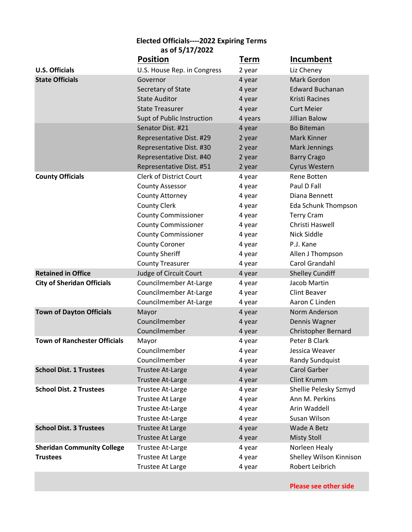|                                     | 85 OI 5/17/2022                |             |                            |
|-------------------------------------|--------------------------------|-------------|----------------------------|
|                                     | <b>Position</b>                | <b>Term</b> | Incumbent                  |
| <b>U.S. Officials</b>               | U.S. House Rep. in Congress    | 2 year      | Liz Cheney                 |
| <b>State Officials</b>              | Governor                       | 4 year      | Mark Gordon                |
|                                     | Secretary of State             | 4 year      | <b>Edward Buchanan</b>     |
|                                     | <b>State Auditor</b>           | 4 year      | Kristi Racines             |
|                                     | <b>State Treasurer</b>         | 4 year      | <b>Curt Meier</b>          |
|                                     | Supt of Public Instruction     | 4 years     | <b>Jillian Balow</b>       |
|                                     | Senator Dist. #21              | 4 year      | <b>Bo Biteman</b>          |
|                                     | Representative Dist. #29       | 2 year      | Mark Kinner                |
|                                     | Representative Dist. #30       | 2 year      | <b>Mark Jennings</b>       |
|                                     | Representative Dist. #40       | 2 year      | <b>Barry Crago</b>         |
|                                     | Representative Dist. #51       | 2 year      | <b>Cyrus Western</b>       |
| <b>County Officials</b>             | <b>Clerk of District Court</b> | 4 year      | Rene Botten                |
|                                     | <b>County Assessor</b>         | 4 year      | Paul D Fall                |
|                                     | County Attorney                | 4 year      | Diana Bennett              |
|                                     | <b>County Clerk</b>            | 4 year      | Eda Schunk Thompson        |
|                                     | <b>County Commissioner</b>     | 4 year      | <b>Terry Cram</b>          |
|                                     | <b>County Commissioner</b>     | 4 year      | Christi Haswell            |
|                                     | <b>County Commissioner</b>     | 4 year      | Nick Siddle                |
|                                     | <b>County Coroner</b>          | 4 year      | P.J. Kane                  |
|                                     | <b>County Sheriff</b>          | 4 year      | Allen J Thompson           |
|                                     | <b>County Treasurer</b>        | 4 year      | Carol Grandahl             |
| <b>Retained in Office</b>           | Judge of Circuit Court         | 4 year      | <b>Shelley Cundiff</b>     |
| <b>City of Sheridan Officials</b>   | Councilmember At-Large         | 4 year      | Jacob Martin               |
|                                     | Councilmember At-Large         | 4 year      | <b>Clint Beaver</b>        |
|                                     | Councilmember At-Large         | 4 year      | Aaron C Linden             |
| <b>Town of Dayton Officials</b>     | Mayor                          | 4 year      | Norm Anderson              |
|                                     | Councilmember                  | 4 year      | Dennis Wagner              |
|                                     | Councilmember                  | 4 year      | <b>Christopher Bernard</b> |
| <b>Town of Ranchester Officials</b> | Mayor                          | 4 year      | Peter B Clark              |
|                                     | Councilmember                  | 4 year      | Jessica Weaver             |
|                                     | Councilmember                  | 4 year      | Randy Sundquist            |
| <b>School Dist. 1 Trustees</b>      | <b>Trustee At-Large</b>        | 4 year      | <b>Carol Garber</b>        |
|                                     | Trustee At-Large               | 4 year      | <b>Clint Krumm</b>         |
| <b>School Dist. 2 Trustees</b>      | <b>Trustee At-Large</b>        | 4 year      | Shellie Pelesky Szmyd      |
|                                     | Trustee At Large               | 4 year      | Ann M. Perkins             |
|                                     | <b>Trustee At-Large</b>        | 4 year      | Arin Waddell               |
|                                     | Trustee At-Large               | 4 year      | Susan Wilson               |
| <b>School Dist. 3 Trustees</b>      | <b>Trustee At Large</b>        | 4 year      | Wade A Betz                |
|                                     | Trustee At Large               | 4 year      | <b>Misty Stoll</b>         |
| <b>Sheridan Community College</b>   | Trustee At-Large               | 4 year      | Norleen Healy              |
| <b>Trustees</b>                     | Trustee At Large               | 4 year      | Shelley Wilson Kinnison    |
|                                     | <b>Trustee At Large</b>        | 4 year      | Robert Leibrich            |
|                                     |                                |             |                            |

**Elected Officials----2022 Expiring Terms as of 5/17/2022**

**Please see other side**